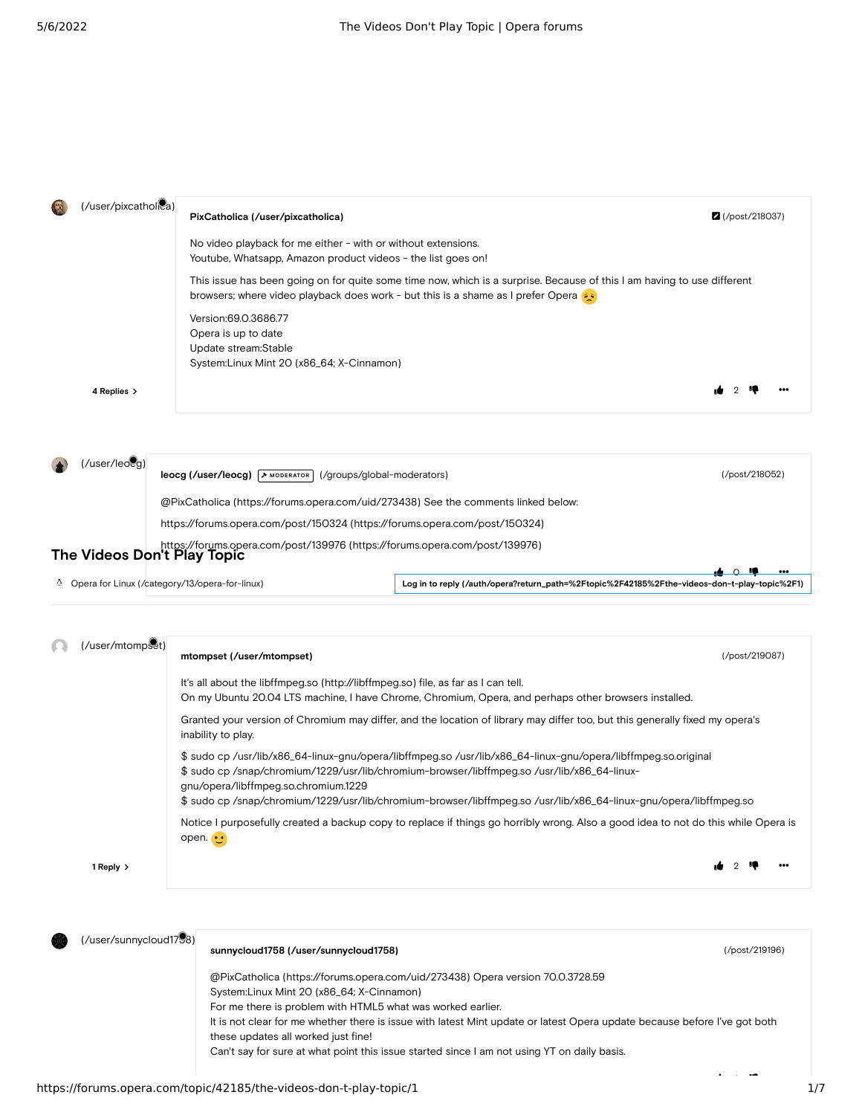|    | (/user/pixcatholica) |                                                                                                                                                                                                             |  |
|----|----------------------|-------------------------------------------------------------------------------------------------------------------------------------------------------------------------------------------------------------|--|
| 13 |                      | PixCatholica (/user/pixcatholica)<br>$2$ (/post/218037)                                                                                                                                                     |  |
|    |                      | No video playback for me either - with or without extensions.<br>Youtube, Whatsapp, Amazon product videos - the list goes on!                                                                               |  |
|    |                      | This issue has been going on for quite some time now, which is a surprise. Because of this I am having to use different<br>browsers; where video playback does work - but this is a shame as I prefer Opera |  |
|    |                      | Version:69.0.3686.77                                                                                                                                                                                        |  |
|    |                      | Opera is up to date                                                                                                                                                                                         |  |
|    |                      | Update stream:Stable<br>System:Linux Mint 20 (x86_64; X-Cinnamon)                                                                                                                                           |  |
|    | 4 Replies >          |                                                                                                                                                                                                             |  |
|    |                      |                                                                                                                                                                                                             |  |
|    | (/user/leoca         |                                                                                                                                                                                                             |  |

[\(/post/218052\)](https://forums.opera.com/post/218052) [@PixCatholica \(https://forums.opera.com/uid/273438\)](https://forums.opera.com/uid/273438) See the comments linked below: [https://forums.opera.com/post/150324 \(https://forums.opera.com/post/150324\)](https://forums.opera.com/post/150324) [https://forums.opera.com/post/139976 \(https://forums.opera.com/post/139976\)](https://forums.opera.com/post/139976) **The Videos Don't Play Topic [leocg \(/user/leocg\)](https://forums.opera.com/user/leocg)**  $\boxed{\rightarrow$  MODERATOR [\(/groups/global-moderators\)](https://forums.opera.com/groups/global-moderators) **0 0 0. [Log in to reply \(/auth/opera?return\\_path=%2Ftopic%2F42185%2Fthe-videos-don-t-play-topic%2F1\)](https://forums.opera.com/auth/opera?return_path=%2Ftopic%2F42185%2Fthe-videos-don-t-play-topic%2F1)** [Opera for Linux \(/category/13/opera-for-linux\)](https://forums.opera.com/category/13/opera-for-linux)

| (/user/mtompset)       |                                                                                                                                                                                                                                                                                                                                                                           |                |
|------------------------|---------------------------------------------------------------------------------------------------------------------------------------------------------------------------------------------------------------------------------------------------------------------------------------------------------------------------------------------------------------------------|----------------|
|                        | mtompset (/user/mtompset)                                                                                                                                                                                                                                                                                                                                                 | (/post/219087) |
|                        | It's all about the libffmpeg.so (http://libffmpeg.so) file, as far as I can tell.<br>On my Ubuntu 20.04 LTS machine, I have Chrome, Chromium, Opera, and perhaps other browsers installed.                                                                                                                                                                                |                |
|                        | Granted your version of Chromium may differ, and the location of library may differ too, but this generally fixed my opera's<br>inability to play.                                                                                                                                                                                                                        |                |
|                        | \$ sudo cp /usr/lib/x86_64-linux-gnu/opera/libffmpeg.so /usr/lib/x86_64-linux-gnu/opera/libffmpeg.so.original<br>\$ sudo cp /snap/chromium/1229/usr/lib/chromium-browser/libffmpeg.so /usr/lib/x86_64-linux-<br>gnu/opera/libffmpeg.so.chromium.1229<br>\$ sudo cp /snap/chromium/1229/usr/lib/chromium-browser/libffmpeg.so /usr/lib/x86_64-linux-gnu/opera/libffmpeg.so |                |
|                        | Notice I purposefully created a backup copy to replace if things go horribly wrong. Also a good idea to not do this while Opera is<br>open. .                                                                                                                                                                                                                             |                |
| 1 Reply $\rightarrow$  |                                                                                                                                                                                                                                                                                                                                                                           |                |
|                        |                                                                                                                                                                                                                                                                                                                                                                           |                |
| (/user/sunnycloud1798) | sunnycloud1758 (/user/sunnycloud1758)                                                                                                                                                                                                                                                                                                                                     | (/post/219196) |
|                        | @PixCatholica (https://forums.opera.com/uid/273438) Opera version 70.0.3728.59                                                                                                                                                                                                                                                                                            |                |
|                        | System:Linux Mint 20 (x86_64; X-Cinnamon)                                                                                                                                                                                                                                                                                                                                 |                |
|                        | For me there is problem with HTML5 what was worked earlier.                                                                                                                                                                                                                                                                                                               |                |
|                        | It is not clear for me whether there is issue with latest Mint update or latest Opera update because before I've got both                                                                                                                                                                                                                                                 |                |

these updates all worked just fine!

Can't say for sure at what point this issue started since I am not using YT on daily basis.

1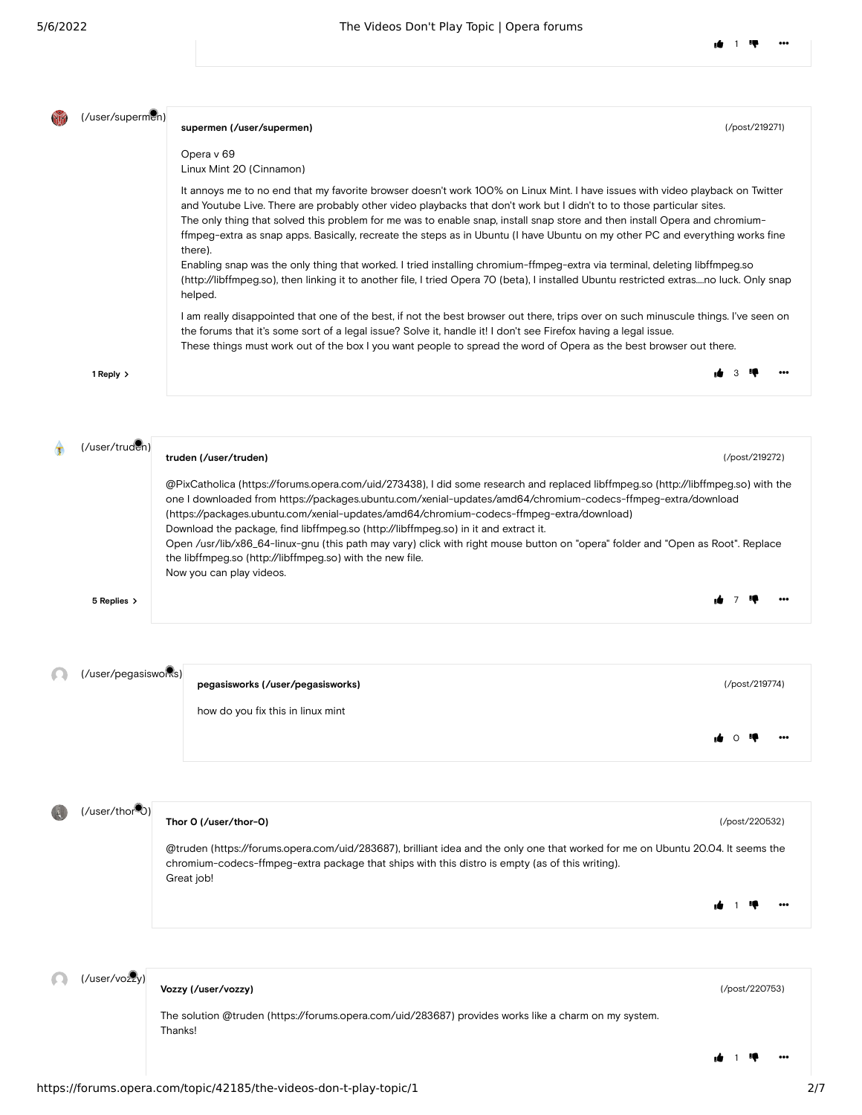10 1 甲 …

| (/user/supermen)            | supermen (/user/supermen)<br>(/post/219271)                                                                                                                                                                                                                                                                                                                                                                                                                                                                                                                                                                                                                                                                                                                                                                          |  |
|-----------------------------|----------------------------------------------------------------------------------------------------------------------------------------------------------------------------------------------------------------------------------------------------------------------------------------------------------------------------------------------------------------------------------------------------------------------------------------------------------------------------------------------------------------------------------------------------------------------------------------------------------------------------------------------------------------------------------------------------------------------------------------------------------------------------------------------------------------------|--|
|                             | Opera v 69<br>Linux Mint 20 (Cinnamon)                                                                                                                                                                                                                                                                                                                                                                                                                                                                                                                                                                                                                                                                                                                                                                               |  |
|                             | It annoys me to no end that my favorite browser doesn't work 100% on Linux Mint. I have issues with video playback on Twitter<br>and Youtube Live. There are probably other video playbacks that don't work but I didn't to to those particular sites.<br>The only thing that solved this problem for me was to enable snap, install snap store and then install Opera and chromium-<br>ffmpeg-extra as snap apps. Basically, recreate the steps as in Ubuntu (I have Ubuntu on my other PC and everything works fine<br>there).<br>Enabling snap was the only thing that worked. I tried installing chromium-ffmpeg-extra via terminal, deleting libffmpeg.so<br>(http://libffmpeg.so), then linking it to another file, I tried Opera 70 (beta), I installed Ubuntu restricted extrasno luck. Only snap<br>helped. |  |
|                             | I am really disappointed that one of the best, if not the best browser out there, trips over on such minuscule things. I've seen on<br>the forums that it's some sort of a legal issue? Solve it, handle it! I don't see Firefox having a legal issue.<br>These things must work out of the box I you want people to spread the word of Opera as the best browser out there.                                                                                                                                                                                                                                                                                                                                                                                                                                         |  |
| 1 Reply >                   |                                                                                                                                                                                                                                                                                                                                                                                                                                                                                                                                                                                                                                                                                                                                                                                                                      |  |
|                             |                                                                                                                                                                                                                                                                                                                                                                                                                                                                                                                                                                                                                                                                                                                                                                                                                      |  |
| (/user/truden)              | truden (/user/truden)<br>(/post/219272)                                                                                                                                                                                                                                                                                                                                                                                                                                                                                                                                                                                                                                                                                                                                                                              |  |
|                             | @PixCatholica (https://forums.opera.com/uid/273438), I did some research and replaced libffmpeg.so (http://libffmpeg.so) with the<br>one I downloaded from https://packages.ubuntu.com/xenial-updates/amd64/chromium-codecs-ffmpeg-extra/download<br>(https://packages.ubuntu.com/xenial-updates/amd64/chromium-codecs-ffmpeg-extra/download)<br>Download the package, find libffmpeg.so (http://libffmpeg.so) in it and extract it.<br>Open /usr/lib/x86_64-linux-gnu (this path may vary) click with right mouse button on "opera" folder and "Open as Root". Replace<br>the libffmpeg.so (http://libffmpeg.so) with the new file.<br>Now you can play videos.                                                                                                                                                     |  |
| 5 Replies >                 |                                                                                                                                                                                                                                                                                                                                                                                                                                                                                                                                                                                                                                                                                                                                                                                                                      |  |
|                             |                                                                                                                                                                                                                                                                                                                                                                                                                                                                                                                                                                                                                                                                                                                                                                                                                      |  |
|                             |                                                                                                                                                                                                                                                                                                                                                                                                                                                                                                                                                                                                                                                                                                                                                                                                                      |  |
| (/user/pegasisworks)        | (/post/219774)<br>pegasisworks (/user/pegasisworks)                                                                                                                                                                                                                                                                                                                                                                                                                                                                                                                                                                                                                                                                                                                                                                  |  |
|                             | how do you fix this in linux mint                                                                                                                                                                                                                                                                                                                                                                                                                                                                                                                                                                                                                                                                                                                                                                                    |  |
|                             |                                                                                                                                                                                                                                                                                                                                                                                                                                                                                                                                                                                                                                                                                                                                                                                                                      |  |
|                             |                                                                                                                                                                                                                                                                                                                                                                                                                                                                                                                                                                                                                                                                                                                                                                                                                      |  |
| (/user/thor <sup>e</sup> o) | Thor O (/user/thor-0)<br>(/post/220532)                                                                                                                                                                                                                                                                                                                                                                                                                                                                                                                                                                                                                                                                                                                                                                              |  |
|                             | @truden (https://forums.opera.com/uid/283687), brilliant idea and the only one that worked for me on Ubuntu 20.04. It seems the<br>chromium-codecs-ffmpeg-extra package that ships with this distro is empty (as of this writing).<br>Great job!                                                                                                                                                                                                                                                                                                                                                                                                                                                                                                                                                                     |  |
|                             |                                                                                                                                                                                                                                                                                                                                                                                                                                                                                                                                                                                                                                                                                                                                                                                                                      |  |
|                             |                                                                                                                                                                                                                                                                                                                                                                                                                                                                                                                                                                                                                                                                                                                                                                                                                      |  |
| (/user/vozzy)               | (/post/220753)<br>Vozzy (/user/vozzy)                                                                                                                                                                                                                                                                                                                                                                                                                                                                                                                                                                                                                                                                                                                                                                                |  |
|                             | The solution @truden (https://forums.opera.com/uid/283687) provides works like a charm on my system.<br>Thanks!                                                                                                                                                                                                                                                                                                                                                                                                                                                                                                                                                                                                                                                                                                      |  |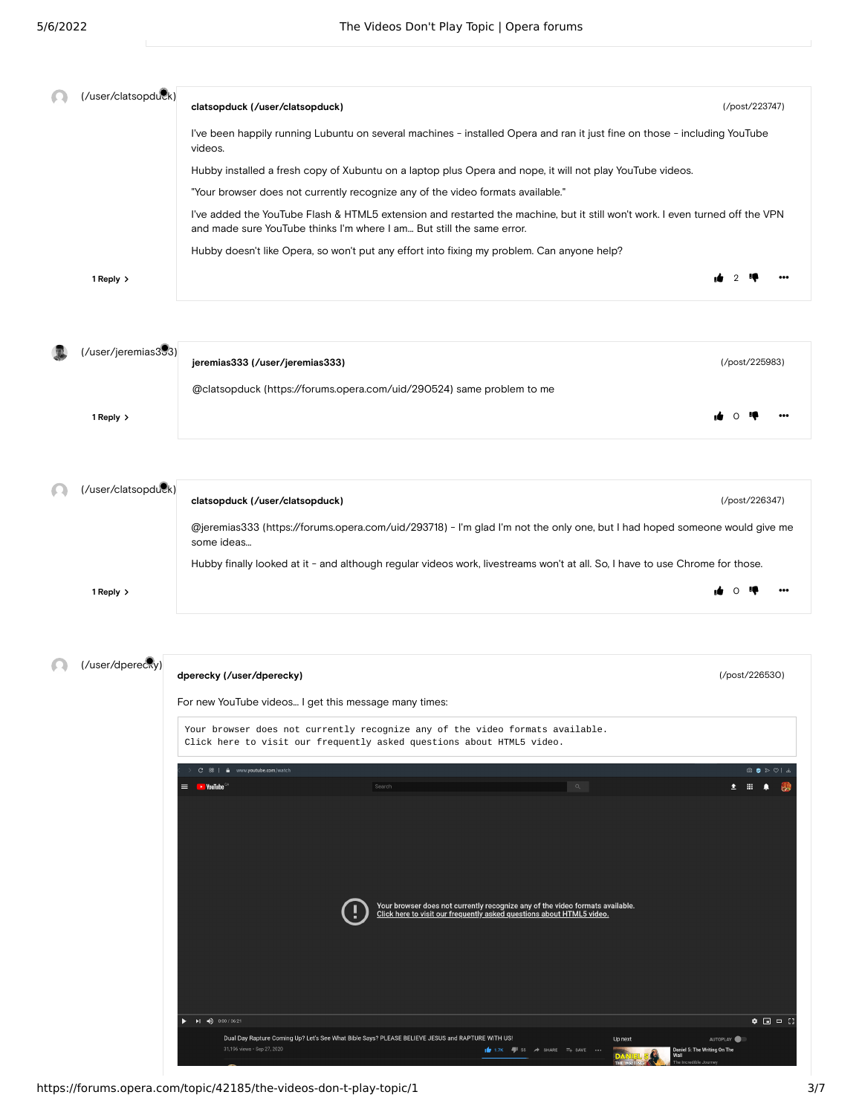| $\Box$ | (/user/clatsopduck) | clatsopduck (/user/clatsopduck)                                                                                                                                                                       | (/post/223747) |
|--------|---------------------|-------------------------------------------------------------------------------------------------------------------------------------------------------------------------------------------------------|----------------|
|        |                     | I've been happily running Lubuntu on several machines - installed Opera and ran it just fine on those - including YouTube<br>videos.                                                                  |                |
|        |                     | Hubby installed a fresh copy of Xubuntu on a laptop plus Opera and nope, it will not play YouTube videos.                                                                                             |                |
|        |                     | "Your browser does not currently recognize any of the video formats available."                                                                                                                       |                |
|        |                     | I've added the YouTube Flash & HTML5 extension and restarted the machine, but it still won't work. I even turned off the VPN<br>and made sure YouTube thinks I'm where I am But still the same error. |                |
|        |                     | Hubby doesn't like Opera, so won't put any effort into fixing my problem. Can anyone help?                                                                                                            |                |
|        | 1 Reply >           |                                                                                                                                                                                                       |                |

| (/user/jeremias393) | jeremias333 (/user/jeremias333)                                       | (/post/225983) |                         |  |
|---------------------|-----------------------------------------------------------------------|----------------|-------------------------|--|
|                     | @clatsopduck (https://forums.opera.com/uid/290524) same problem to me |                |                         |  |
| 1 Reply >           |                                                                       | ▲ ○ 啤          | $\bullet\bullet\bullet$ |  |

[\(/user/clatsopduck\)](https://forums.opera.com/user/clatsopduck) Œ **[clatsopduck \(/user/clatsopduck\)](https://forums.opera.com/user/clatsopduck)** [\(/post/226347\)](https://forums.opera.com/post/226347) [@jeremias333 \(https://forums.opera.com/uid/293718\)](https://forums.opera.com/uid/293718) - I'm glad I'm not the only one, but I had hoped someone would give me some ideas... Hubby finally looked at it - and although regular videos work, livestreams won't at all. So, I have to use Chrome for those. **1 Reply** 0

[\(/user/dperecky\)](https://forums.opera.com/user/dperecky)

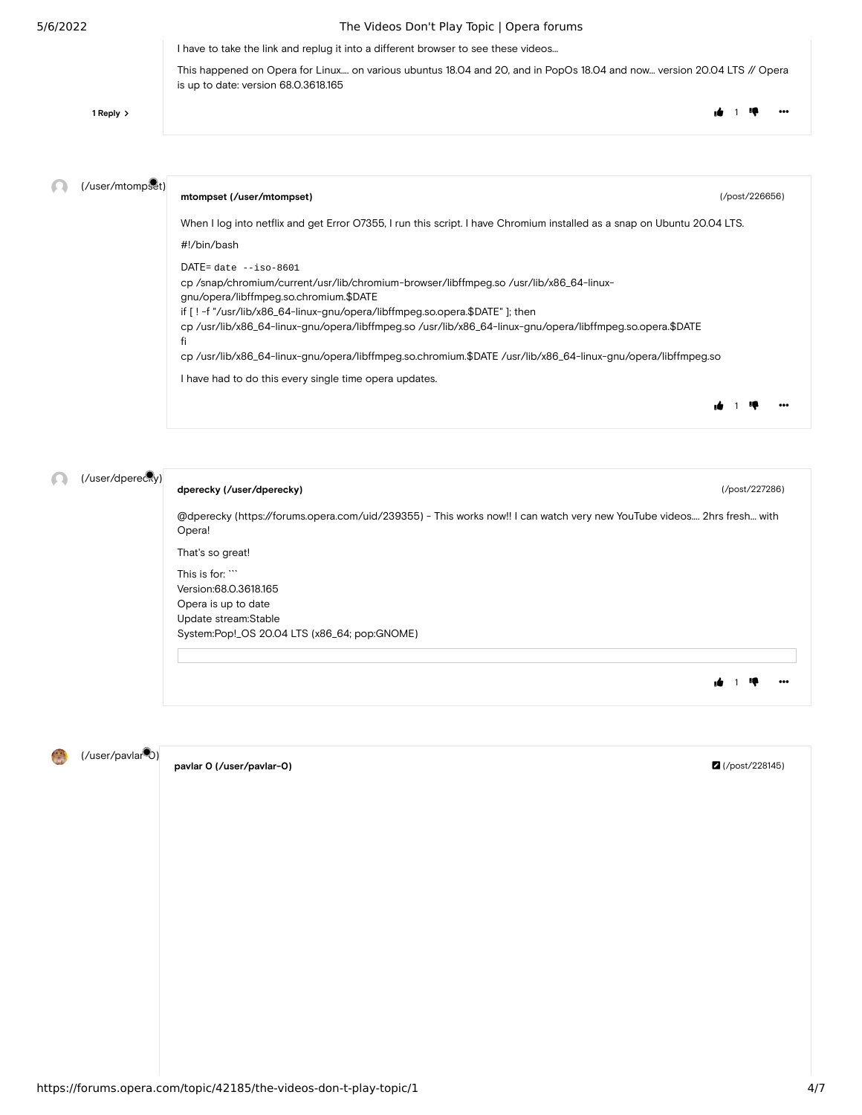| 5/6/2022              | The Videos Don't Play Topic   Opera forums                                                                                                                      |
|-----------------------|-----------------------------------------------------------------------------------------------------------------------------------------------------------------|
|                       | I have to take the link and replug it into a different browser to see these videos                                                                              |
|                       | This happened on Opera for Linux on various ubuntus 18.04 and 20, and in PopOs 18.04 and now version 20.04 LTS // Opera<br>is up to date: version 68.0.3618.165 |
| 1 Reply $\rightarrow$ | ×.                                                                                                                                                              |
|                       |                                                                                                                                                                 |
| (/user/mtompset)      | mtompset (/user/mtompset)<br>(/post/226656)                                                                                                                     |

When I log into netflix and get Error O7355, I run this script. I have Chromium installed as a snap on Ubuntu 20.04 LTS. #!/bin/bash DATE= date --iso-8601 cp /snap/chromium/current/usr/lib/chromium-browser/libffmpeg.so /usr/lib/x86\_64-linuxgnu/opera/libffmpeg.so.chromium.\$DATE if [ ! -f "/usr/lib/x86\_64-linux-gnu/opera/libffmpeg.so.opera.\$DATE" ]; then cp /usr/lib/x86\_64-linux-gnu/opera/libffmpeg.so /usr/lib/x86\_64-linux-gnu/opera/libffmpeg.so.opera.\$DATE fi cp /usr/lib/x86\_64-linux-gnu/opera/libffmpeg.so.chromium.\$DATE /usr/lib/x86\_64-linux-gnu/opera/libffmpeg.so I have had to do this every single time opera updates. 10 m

## [\(/user/dperecky\)](https://forums.opera.com/user/dperecky)

[@dperecky \(https://forums.opera.com/uid/239355\)](https://forums.opera.com/uid/239355) - This works now!! I can watch very new YouTube videos.... 2hrs fresh... with Opera!

That's so great!

**[dperecky \(/user/dperecky\)](https://forums.opera.com/user/dperecky)**

This is for: ``` Version:68.0.3618.165 Opera is up to date Update stream:Stable System:Pop!\_OS 20.04 LTS (x86\_64; pop:GNOME)

[\(/user/pavlar-0\)](https://forums.opera.com/user/pavlar-0)

**[pavlar 0 \(/user/pavlar-0\)](https://forums.opera.com/user/pavlar-0)**

[\(/post/228145\)](https://forums.opera.com/post/228145)

10 m

[\(/post/227286\)](https://forums.opera.com/post/227286)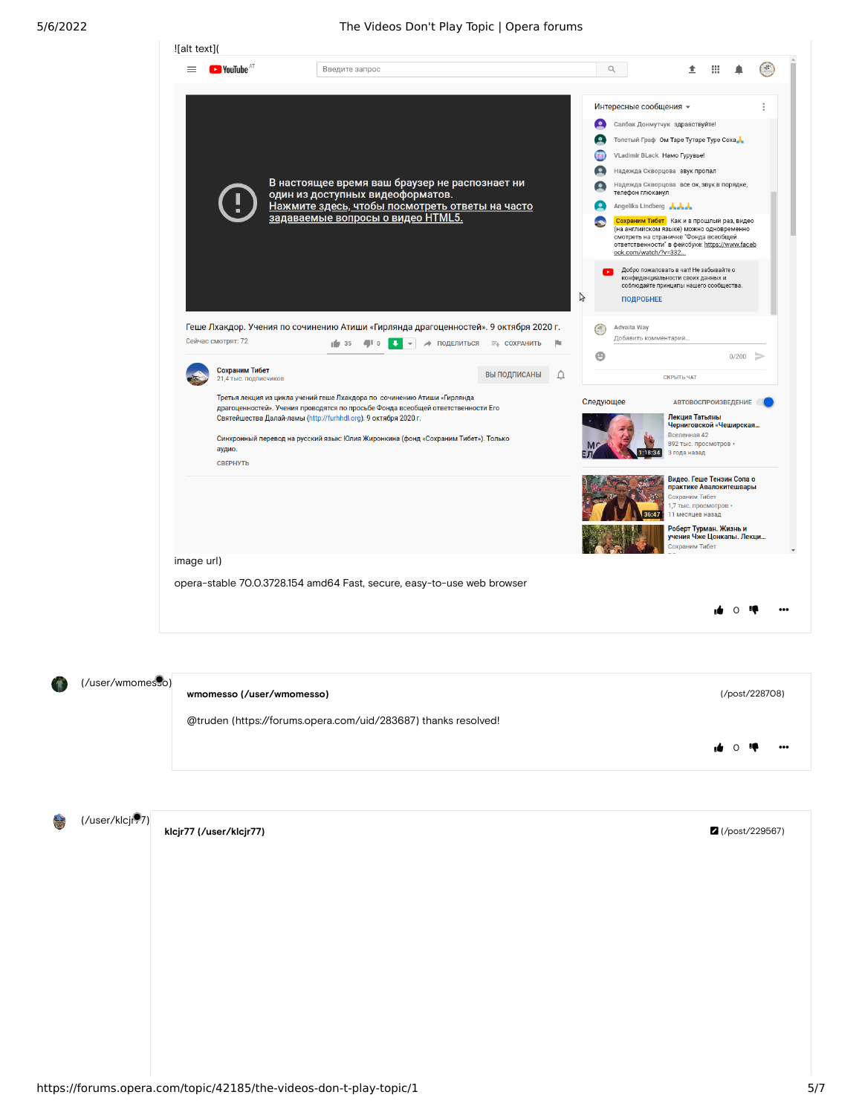

[\(/user/wmomesso\)](https://forums.opera.com/user/wmomesso)

## **[wmomesso \(/user/wmomesso\)](https://forums.opera.com/user/wmomesso)**

[@truden \(https://forums.opera.com/uid/283687\)](https://forums.opera.com/uid/283687) thanks resolved!

0

[\(/post/228708\)](https://forums.opera.com/post/228708)

[\(/user/klcjr77\)](https://forums.opera.com/user/klcjr77)

**[klcjr77 \(/user/klcjr77\)](https://forums.opera.com/user/klcjr77)**

[\(/post/229567\)](https://forums.opera.com/post/229567)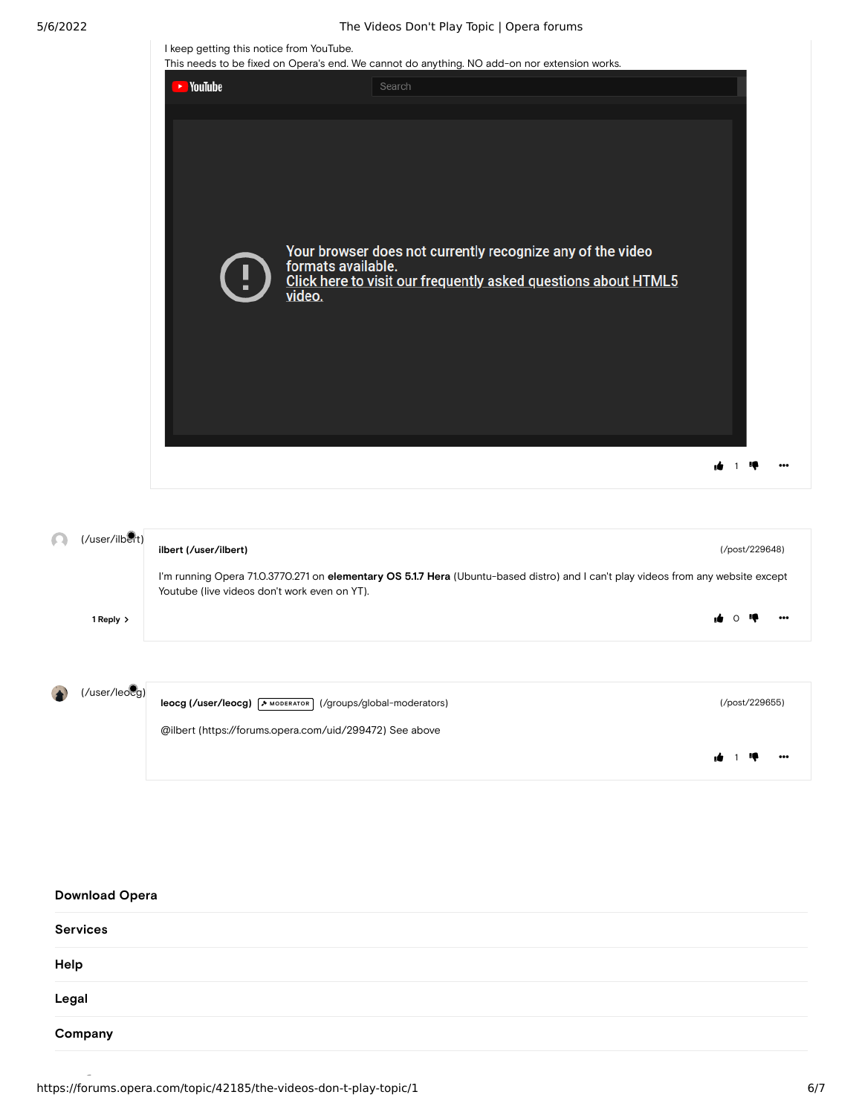$\Omega$ 

I keep getting this notice from YouTube. This needs to be fixed on Opera's end. We cannot do anything. NO add-on nor extension works.



[@ilbert \(https://forums.opera.com/uid/299472\)](https://forums.opera.com/uid/299472) See above

10 11 IQ ...

| <b>Download Opera</b> |  |  |
|-----------------------|--|--|
| <b>Services</b>       |  |  |
| Help                  |  |  |
| Legal                 |  |  |
| Company               |  |  |